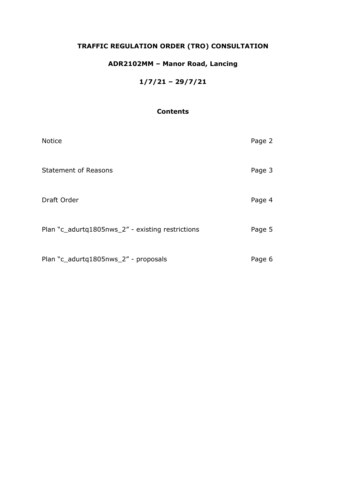# **TRAFFIC REGULATION ORDER (TRO) CONSULTATION**

# **ADR2102MM – Manor Road, Lancing**

## **1/7/21 – 29/7/21**

## **Contents**

| <b>Notice</b>                                    | Page 2 |
|--------------------------------------------------|--------|
| <b>Statement of Reasons</b>                      | Page 3 |
| Draft Order                                      | Page 4 |
| Plan "c_adurtq1805nws_2" - existing restrictions | Page 5 |
| Plan "c_adurtq1805nws_2" - proposals             | Page 6 |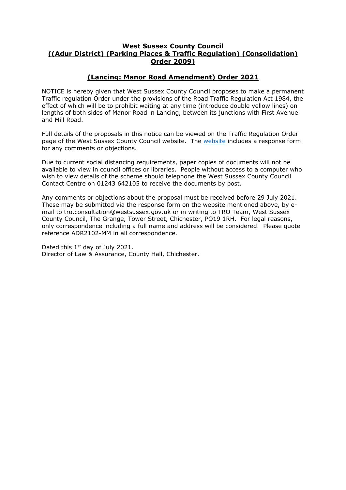#### **West Sussex County Council ((Adur District) (Parking Places & Traffic Regulation) (Consolidation) Order 2009)**

### **(Lancing: Manor Road Amendment) Order 2021**

NOTICE is hereby given that West Sussex County Council proposes to make a permanent Traffic regulation Order under the provisions of the Road Traffic Regulation Act 1984, the effect of which will be to prohibit waiting at any time (introduce double yellow lines) on lengths of both sides of Manor Road in Lancing, between its junctions with First Avenue and Mill Road.

Full details of the proposals in this notice can be viewed on the Traffic Regulation Order page of the West Sussex County Council website. The [website](https://www.westsussex.gov.uk/roads-and-travel/traffic-regulation-orders/) includes a response form for any comments or objections.

Due to current social distancing requirements, paper copies of documents will not be available to view in council offices or libraries. People without access to a computer who wish to view details of the scheme should telephone the West Sussex County Council Contact Centre on 01243 642105 to receive the documents by post.

Any comments or objections about the proposal must be received before 29 July 2021. These may be submitted via the response form on the website mentioned above, by email to tro.consultation@westsussex.gov.uk or in writing to TRO Team, West Sussex County Council, The Grange, Tower Street, Chichester, PO19 1RH. For legal reasons, only correspondence including a full name and address will be considered. Please quote reference ADR2102-MM in all correspondence.

Dated this 1<sup>st</sup> day of July 2021. Director of Law & Assurance, County Hall, Chichester.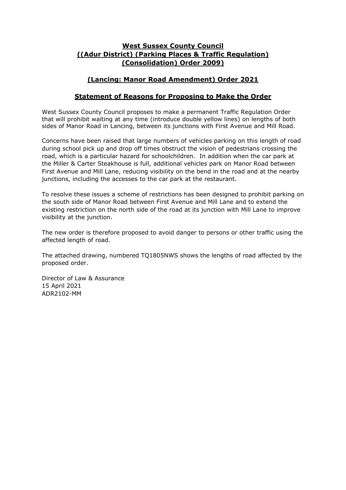### **West Sussex County Council ((Adur District) (Parking Places & Traffic Regulation) (Consolidation) Order 2009)**

### **(Lancing: Manor Road Amendment) Order 2021**

### **Statement of Reasons for Proposing to Make the Order**

West Sussex County Council proposes to make a permanent Traffic Regulation Order that will prohibit waiting at any time (introduce double yellow lines) on lengths of both sides of Manor Road in Lancing, between its junctions with First Avenue and Mill Road.

Concerns have been raised that large numbers of vehicles parking on this length of road during school pick up and drop off times obstruct the vision of pedestrians crossing the road, which is a particular hazard for schoolchildren. In addition when the car park at the Miller & Carter Steakhouse is full, additional vehicles park on Manor Road between First Avenue and Mill Lane, reducing visibility on the bend in the road and at the nearby junctions, including the accesses to the car park at the restaurant.

To resolve these issues a scheme of restrictions has been designed to prohibit parking on the south side of Manor Road between First Avenue and Mill Lane and to extend the existing restriction on the north side of the road at its junction with Mill Lane to improve visibility at the junction.

The new order is therefore proposed to avoid danger to persons or other traffic using the affected length of road.

The attached drawing, numbered TQ1805NWS shows the lengths of road affected by the proposed order.

Director of Law & Assurance 15 April 2021 ADR2102-MM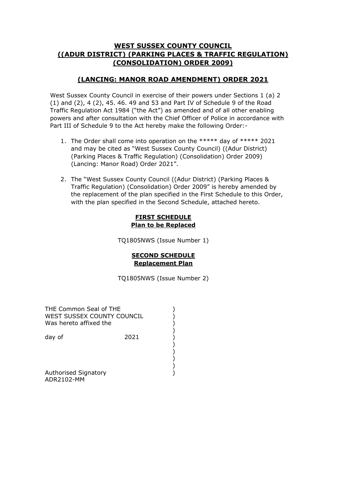### **WEST SUSSEX COUNTY COUNCIL ((ADUR DISTRICT) (PARKING PLACES & TRAFFIC REGULATION) (CONSOLIDATION) ORDER 2009)**

## **(LANCING: MANOR ROAD AMENDMENT) ORDER 2021**

West Sussex County Council in exercise of their powers under Sections 1 (a) 2 (1) and (2), 4 (2), 45. 46. 49 and 53 and Part IV of Schedule 9 of the Road Traffic Regulation Act 1984 ("the Act") as amended and of all other enabling powers and after consultation with the Chief Officer of Police in accordance with Part III of Schedule 9 to the Act hereby make the following Order:-

- 1. The Order shall come into operation on the \*\*\*\*\* day of \*\*\*\*\* 2021 and may be cited as "West Sussex County Council) ((Adur District) (Parking Places & Traffic Regulation) (Consolidation) Order 2009) (Lancing: Manor Road) Order 2021".
- 2. The "West Sussex County Council ((Adur District) (Parking Places & Traffic Regulation) (Consolidation) Order 2009" is hereby amended by the replacement of the plan specified in the First Schedule to this Order, with the plan specified in the Second Schedule, attached hereto.

#### **FIRST SCHEDULE Plan to be Replaced**

TQ1805NWS (Issue Number 1)

#### **SECOND SCHEDULE Replacement Plan**

TQ1805NWS (Issue Number 2)

) ) )

)

)

)

)

)

)

)

| THE Common Seal of THE<br>WEST SUSSEX COUNTY COUNCIL<br>Was hereto affixed the |      |
|--------------------------------------------------------------------------------|------|
| day of                                                                         | 2021 |
|                                                                                |      |
| <b>Authorised Signatory</b>                                                    |      |

Authorised Signatory ADR2102-MM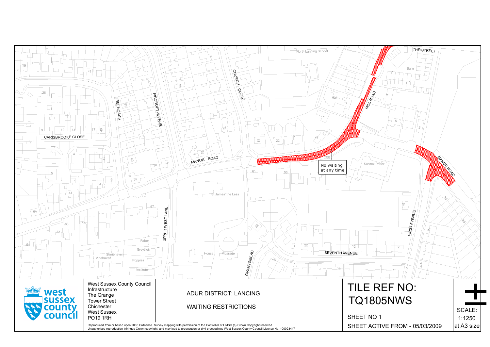